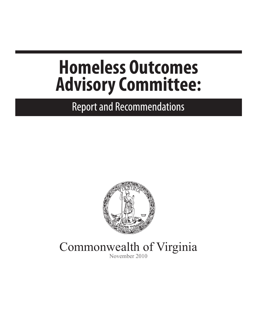# **Homeless Outcomes Advisory Committee:**

**Report and Recommendations** 



Commonwealth of Virginia November 2010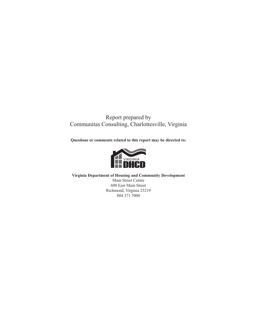#### Report prepared by Communitas Consulting, Charlottesville, Virginia

**Questions or comments related to this report may be directed to:**



**Virginia Department of Housing and Community Development** Main Street Centre 600 East Main Street Richmond, Virginia 23219 804.371.7000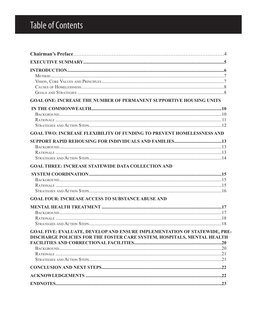### **Table of Contents**

| GOAL ONE: INCREASE THE NUMBER OF PERMANENT SUPPORTIVE HOUSING UNITS                                                                                  |  |
|------------------------------------------------------------------------------------------------------------------------------------------------------|--|
|                                                                                                                                                      |  |
| <b>GOAL TWO: INCREASE FLEXIBILITY OF FUNDING TO PREVENT HOMELESSNESS AND</b>                                                                         |  |
|                                                                                                                                                      |  |
| <b>GOAL THREE: INCREASE STATEWIDE DATA COLLECTION AND</b>                                                                                            |  |
| <b>GOAL FOUR: INCREASE ACCESS TO SUBSTANCE ABUSE AND</b>                                                                                             |  |
|                                                                                                                                                      |  |
|                                                                                                                                                      |  |
| GOAL FIVE: EVALUATE, DEVELOP AND ENSURE IMPLEMENTATION OF STATEWIDE, PRE-<br>DISCHARGE POLICIES FOR THE FOSTER CARE SYSTEM, HOSPITALS, MENTAL HEALTH |  |
|                                                                                                                                                      |  |
|                                                                                                                                                      |  |
|                                                                                                                                                      |  |
|                                                                                                                                                      |  |
|                                                                                                                                                      |  |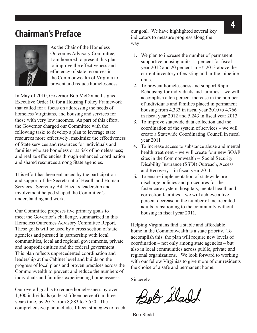### **Chairman's Preface**



As the Chair of the Homeless Outcomes Advisory Committee, I am honored to present this plan to improve the effectiveness and efficiency of state resources in the Commonwealth of Virginia to prevent and reduce homelessness.

In May of 2010, Governor Bob McDonnell signed Executive Order 10 for a Housing Policy Framework that called for a focus on addressing the needs of homeless Virginians, and housing and services for those with very low incomes. As part of this effort, the Governor charged our Committee with the following task: to develop a plan to leverage state resources more effectively; maximize the effectiveness of State services and resources for individuals and families who are homeless or at risk of homelessness; and realize efficiencies through enhanced coordination and shared resources among State agencies.

This effort has been enhanced by the participation and support of the Secretariat of Health and Human Services. Secretary Bill Hazel's leadership and involvement helped shaped the Committee's understanding and work.

Our Committee proposes five primary goals to meet the Governor's challenge, summarized in this Homeless Outcomes Advisory Committee Report. These goals will be used by a cross section of state agencies and pursued in partnership with local communities, local and regional governments, private and nonprofit entities and the federal government. This plan reflects unprecedented coordination and leadership at the Cabinet level and builds on the progress of local plans and proven practices across the Commonwealth to prevent and reduce the numbers of individuals and families experiencing homelessness.

Our overall goal is to reduce homelessness by over 1,300 individuals (at least fifteen percent) in three years time, by 2013 from 8,883 to 7,550. The comprehensive plan includes fifteen strategies to reach our goal. We have highlighted several key indicators to measure progress along the way:

- 1. We plan to increase the number of permanent supportive housing units 15 percent for fiscal year 2012 and 20 percent in FY 2013 above the current inventory of existing and in-the–pipeline units.
- 2. To prevent homelessness and support Rapid Rehousing for individuals and families – we will accomplish a ten percent increase in the number of individuals and families placed in permanent housing from 4,333 in fiscal year 2010 to 4,766 in fiscal year 2012 and 5,243 in fiscal year 2013.
- 3. To improve statewide data collection and the coordination of the system of services – we will create a Statewide Coordinating Council in fiscal year 2011
- 4. To increase access to substance abuse and mental health treatment – we will create four new SOAR sites in the Commonwealth -- Social Security Disability Insurance (SSDI) Outreach, Access and Recovery – in fiscal year 2011.
- 5. To ensure implementation of statewide predischarge policies and procedures for the foster care system, hospitals, mental health and correction facilities – we will achieve a five percent decrease in the number of incarcerated adults transitioning to the community without housing in fiscal year 2011.

Helping Virginians find a stable and affordable home in the Commonwealth is a state priority. To accomplish this, the plan will require new levels of coordination – not only among state agencies – but also in local communities across public, private and regional organizations. We look forward to working with our fellow Virginias to give more of our residents the choice of a safe and permanent home.

Sincerely,

Bob Sledd

Bob Sledd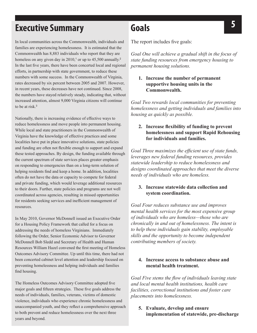## **Executive Summary Goals Constant Constant Constant Constant Constant Constant Constant Constant Constant Constant Constant Constant Constant Constant Constant Constant Constant Constant Constant Constant Constant Cons**

In local communities across the Commonwealth, individuals and families are experiencing homelessness. It is estimated that the Commonwealth has 8,883 individuals who report that they are homeless on any given day in  $2010<sup>1</sup>$  or up to 45,500 annually.<sup>2</sup> In the last five years, there have been concerted local and regional efforts, in partnership with state government, to reduce these numbers with some success. In the Commonwealth of Virginia, rates decreased by six percent between 2005 and 2007. However, in recent years, these decreases have not continued. Since 2008, the numbers have stayed relatively steady, indicating that, without increased attention, almost 9,000 Virginia citizens will continue to be at risk.<sup>3</sup>

Nationally, there is increasing evidence of effective ways to reduce homelessness and move people into permanent housing. While local and state practitioners in the Commonwealth of Virginia have the knowledge of effective practices and some localities have put in place innovative solutions, state policies and funding are often not flexible enough to support and expand these tested approaches. By design, the funding available through the current spectrum of state services places greater emphasis on responding to emergencies than on a long-term solution of helping residents find and keep a home. In addition, localities often do not have the data or capacity to compete for federal and private funding, which would leverage additional resources to their doors. Further, state policies and programs are not well coordinated across agencies, resulting in missed opportunities for residents seeking services and inefficient management of resources.

In May 2010, Governor McDonnell issued an Executive Order for a Housing Policy Framework that called for a focus on addressing the needs of homeless Virginians. Immediately following the Order, Senior Economic Advisor to Governor McDonnell Bob Sledd and Secretary of Health and Human Resources William Hazel convened the first meeting of Homeless Outcomes Advisory Committee. Up until this time, there had not been concerted cabinet level attention and leadership focused on preventing homelessness and helping individuals and families find housing.

The Homeless Outcomes Advisory Committee adopted five major goals and fifteen strategies. These five goals address the needs of individuals, families, veterans, victims of domestic violence, individuals who experience chronic homelessness and unaccompanied youth, and they reflect a comprehensive approach to both prevent and reduce homelessness over the next three years and beyond.

### **Goals**

The report includes five goals:

*Goal One will achieve a gradual shift in the focus of state funding resources from emergency housing to permanent housing solutions.* 

**1. Increase the number of permanent supportive housing units in the Commonwealth.**

*Goal Two rewards local communities for preventing homelessness and getting individuals and families into housing as quickly as possible.* 

#### **2. Increase flexibility of funding to prevent homelessness and support Rapid Rehousing for individuals and families.**

*Goal Three maximizes the efficient use of state funds, leverages new federal funding resources, provides statewide leadership to reduce homelessness and designs coordinated approaches that meet the diverse needs of individuals who are homeless.* 

#### **3. Increase statewide data collection and system coordination.**

*Goal Four reduces substance use and improves mental health services for the most expensive group of individuals who are homeless—those who are chronically in and out of homelessness. The intent is to help these individuals gain stability, employable skills and the opportunity to become independent contributing members of society.*

#### **4. Increase access to substance abuse and mental health treatment.**

*Goal Five stems the flow of individuals leaving state and local mental health institutions, health care facilities, correctional institutions and foster care placements into homelessness.* 

#### **5. Evaluate, develop and ensure implementation of statewide, pre-discharge**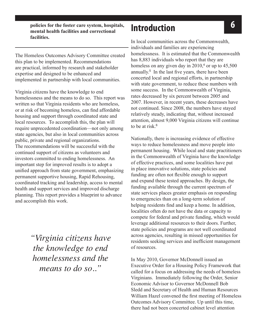**policies for the foster care system, hospitals, <b>66 6 mental health facilities and correctional facilities.**

The Homeless Outcomes Advisory Committee created this plan to be implemented. Recommendations are practical, informed by research and stakeholder expertise and designed to be enhanced and implemented in partnership with local communities.

Virginia citizens have the knowledge to end homelessness and the means to do so. This report was written so that Virginia residents who are homeless, or at risk of becoming homeless, can find affordable housing and support through coordinated state and local resources. To accomplish this, the plan will require unprecedented coordination—not only among state agencies, but also in local communities across public, private and regional organizations. The recommendations will be successful with the continued support of citizens as volunteers and investors committed to ending homelessness. An important step for improved results is to adopt a unified approach from state government, emphasizing permanent supportive housing, Rapid Rehousing, coordinated tracking and leadership, access to mental health and support services and improved discharge planning. This report provides a blueprint to advance and accomplish this work.

> *"Virginia citizens have the knowledge to end homelessness and the means to do so.."*

### **Introduction**

In local communities across the Commonwealth, individuals and families are experiencing homelessness. It is estimated that the Commonwealth has 8,883 individuals who report that they are homeless on any given day in  $2010<sup>4</sup>$  or up to  $45,500$ annually.<sup>5</sup> In the last five years, there have been concerted local and regional efforts, in partnership with state government, to reduce these numbers with some success. In the Commonwealth of Virginia, rates decreased by six percent between 2005 and 2007. However, in recent years, these decreases have not continued. Since 2008, the numbers have stayed relatively steady, indicating that, without increased attention, almost 9,000 Virginia citizens will continue to be at risk  $6$ 

Nationally, there is increasing evidence of effective ways to reduce homelessness and move people into permanent housing. While local and state practitioners in the Commonwealth of Virginia have the knowledge of effective practices, and some localities have put in place innovative solutions, state policies and funding are often not flexible enough to support and expand these tested approaches. By design, the funding available through the current spectrum of state services places greater emphasis on responding to emergencies than on a long-term solution of helping residents find and keep a home. In addition, localities often do not have the data or capacity to compete for federal and private funding, which would leverage additional resources to their doors. Further, state policies and programs are not well coordinated across agencies, resulting in missed opportunities for residents seeking services and inefficient management of resources.

In May 2010, Governor McDonnell issued an Executive Order for a Housing Policy Framework that called for a focus on addressing the needs of homeless Virginians. Immediately following the Order, Senior Economic Advisor to Governor McDonnell Bob Sledd and Secretary of Health and Human Resources William Hazel convened the first meeting of Homeless Outcomes Advisory Committee. Up until this time, there had not been concerted cabinet level attention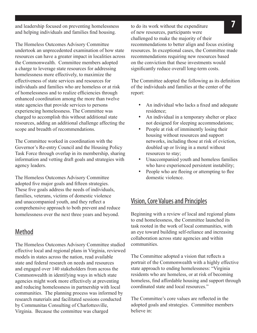and leadership focused on preventing homelessness to do its work without the expenditure and helping individuals and families find housing.

The Homeless Outcomes Advisory Committee undertook an unprecedented examination of how state resources can have a greater impact in localities across the Commonwealth. Committee members adopted a charge to leverage state resources for addressing homelessness more effectively, to maximize the effectiveness of state services and resources for individuals and families who are homeless or at risk of homelessness and to realize efficiencies through enhanced coordination among the more than twelve state agencies that provide services to persons experiencing homelessness. The Committee was charged to accomplish this without additional state resources, adding an additional challenge affecting the scope and breadth of recommendations.

The Committee worked in coordination with the Governor's Re-entry Council and the Housing Policy Task Force through overlap in its membership, sharing information and vetting draft goals and strategies with agency leaders.

The Homeless Outcomes Advisory Committee adopted five major goals and fifteen strategies. These five goals address the needs of individuals, families, veterans, victims of domestic violence and unaccompanied youth, and they reflect a comprehensive approach to both prevent and reduce homelessness over the next three years and beyond.

#### Method

The Homeless Outcomes Advisory Committee studied effective local and regional plans in Virginia, reviewed models in states across the nation, read available state and federal research on needs and resources and engaged over 140 stakeholders from across the Commonwealth in identifying ways in which state agencies might work more effectively at preventing and reducing homelessness in partnership with local communities. The planning process was informed by research materials and facilitated sessions conducted by Communitas Consulting of Charlottesville, Virginia. Because the committee was charged

to do its work without the expenditure of new resources, participants were challenged to make the majority of their recommendations to better align and focus existing resources. In exceptional cases, the Committee made recommendations requiring new resources based on the conviction that these investments would significantly reduce overall long-term costs.

The Committee adopted the following as its definition of the individuals and families at the center of the report:

- An individual who lacks a fixed and adequate residence;
- An individual in a temporary shelter or place not designed for sleeping accommodations;
- People at risk of imminently losing their housing without resources and support networks, including those at risk of eviction, doubled up or living in a motel without resources to stay;
- Unaccompanied youth and homeless families who have experienced persistent instability;
- People who are fleeing or attempting to flee domestic violence.

#### Vision, Core Values and Principles

Beginning with a review of local and regional plans to end homelessness, the Committee launched its task rooted in the work of local communities, with an eye toward building self-reliance and increasing collaboration across state agencies and within communities.

The Committee adopted a vision that reflects a portrait of the Commonwealth with a highly effective state approach to ending homelessness: "Virginia residents who are homeless, or at risk of becoming homeless, find affordable housing and support through coordinated state and local resources."

The Committee's core values are reflected in the adopted goals and strategies. Committee members believe in: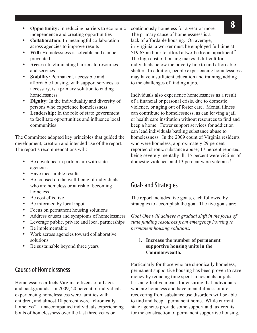- **8 Opportunity:** In reducing barriers to economic continuously homeless for a year or more. independence and creating opportunities
- **Collaboration**: In meaningful collaboration across agencies to improve results
- Will: Homelessness is solvable and can be prevented
- Access: In eliminating barriers to resources and services
- **Stability: Permanent, accessible and** affordable housing, with support services as necessary, is a primary solution to ending homelessness
- • **Dignity:** In the individuality and diversity of persons who experience homelessness
- • **Leadership:** In the role of state government to facilitate opportunities and influence local communities

The Committee adopted key principles that guided the development, creation and intended use of the report. The report's recommendations will:

- Be developed in partnership with state agencies
- Have measurable results
- Be focused on the well-being of individuals who are homeless or at risk of becoming homeless
- Be cost effective
- Be informed by local input
- Focus on permanent housing solutions
- • Address causes and symptoms of homelessness
- Leverage public, private and local partnerships
- Be implementable
- Work across agencies toward collaborative solutions
- Be sustainable beyond three years

### Causes of Homelessness

Homelessness affects Virginia citizens of all ages and backgrounds. In 2009, 20 percent of individuals experiencing homelessness were families with children, and almost 18 percent were "chronically homeless"—unaccompanied individuals experiencing bouts of homelessness over the last three years or

continuously homeless for a year or more. The primary cause of homelessness is a lack of affordable housing. On average, in Virginia, a worker must be employed full time at \$19.63 an hour to afford a two-bedroom apartment.<sup>7</sup> The high cost of housing makes it difficult for individuals below the poverty line to find affordable shelter. In addition, people experiencing homelessness may have insufficient education and training, adding to the challenges of finding a job.

Individuals also experience homelessness as a result of a financial or personal crisis, due to domestic violence, or aging out of foster care. Mental illness can contribute to homelessness, as can leaving a jail or health care institution without resources to find and keep a home. Fewer support services for addiction can lead individuals battling substance abuse to homelessness. In the 2009 count of Virginia residents who were homeless, approximately 29 percent reported chronic substance abuse; 17 percent reported being severely mentally ill, 15 percent were victims of domestic violence, and 13 percent were veterans.<sup>8</sup>

#### Goals and Strategies

The report includes five goals, each followed by strategies to accomplish the goal. The five goals are:

*Goal One will achieve a gradual shift in the focus of state funding resources from emergency housing to permanent housing solutions.* 

#### 1. **Increase the number of permanent supportive housing units in the Commonwealth.**

Particularly for those who are chronically homeless, permanent supportive housing has been proven to save money by reducing time spent in hospitals or jails. It is an effective means for ensuring that individuals who are homeless and have mental illness or are recovering from substance use disorders will be able to find and keep a permanent home. While current state agencies provide some support and tax credits for the construction of permanent supportive housing,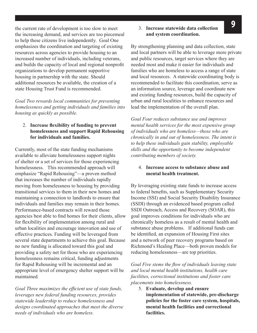**1** the current rate of development is too slow to meet **3**. **Increase statewide data collection** the increasing demand, and services are too piecemeal to help these citizens live independently. Goal One emphasizes the coordination and targeting of existing resources across agencies to provide housing to an increased number of individuals, including veterans, and builds the capacity of local and regional nonprofit organizations to develop permanent supportive housing in partnership with the state. Should additional resources be available, the creation of a state Housing Trust Fund is recommended.

*Goal Two rewards local communities for preventing homelessness and getting individuals and families into housing as quickly as possible.* 

#### 2. **Increase flexibility of funding to prevent homelessness and support Rapid Rehousing for individuals and families.**

Currently, most of the state funding mechanisms available to alleviate homelessness support nights of shelter or a set of services for those experiencing homelessness. This recommended approach will emphasize "Rapid Rehousing"—a proven method that increases the number of individuals rapidly moving from homelessness to housing by providing transitional services to them in their new homes and maintaining a connection to landlords to ensure that individuals and families may remain in their homes. Performance-based contracts will reward those agencies best able to find homes for their clients, allow for flexibility of implementation among rural and urban localities and encourage innovation and use of effective practices. Funding will be leveraged from several state departments to achieve this goal. Because no new funding is allocated toward this goal and providing a safety net for those who are experiencing homelessness remains critical, funding adjustments for Rapid Rehousing will be incremental and an appropriate level of emergency shelter support will be maintained.

*Goal Three maximizes the efficient use of state funds, leverages new federal funding resources, provides statewide leadership to reduce homelessness and designs coordinated approaches that meet the diverse needs of individuals who are homeless.* 

#### 3. **Increase statewide data collection and system coordination.**

By strengthening planning and data collection, state and local partners will be able to leverage more private and public resources, target services where they are needed most and make it easier for individuals and families who are homeless to access a range of state and local resources. A statewide coordinating body is recommended to facilitate this coordination, serve as an information source, leverage and coordinate new and existing funding resources, build the capacity of urban and rural localities to enhance resources and lead the implementation of the overall plan.

*Goal Four reduces substance use and improves mental health services for the most expensive group of individuals who are homeless—those who are chronically in and out of homelessness. The intent is to help these individuals gain stability, employable skills and the opportunity to become independent contributing members of society.*

#### 4. **Increase access to substance abuse and mental health treatment.**

By leveraging existing state funds to increase access to federal benefits, such as Supplementary Security Income (SSI) and Social Security Disability Insurance (SSDI) through an evidenced based program called SSDI Outreach, Access and Recovery (SOAR), this goal improves conditions for individuals who are chronically homeless as a result of mental health and substance abuse problems. If additional funds can be identified, an expansion of Housing First sites and a network of peer recovery programs based on Richmond's Healing Place—both proven models for reducing homelessness—are top priorities.

*Goal Five stems the flow of individuals leaving state and local mental health institutions, health care facilities, correctional institutions and foster care placements into homelessness.* 

5. **Evaluate, develop and ensure implementation of statewide, pre-discharge policies for the foster care system, hospitals, mental health facilities and correctional facilities.**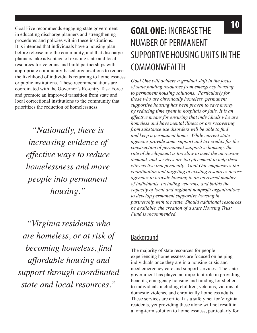in educating discharge planners and strengthening procedures and policies within these institutions. It is intended that individuals have a housing plan before release into the community, and that discharge planners take advantage of existing state and local resources for veterans and build partnerships with appropriate community-based organizations to reduce the likelihood of individuals returning to homelessness or public institutions. These recommendations are coordinated with the Governor's Re-entry Task Force and promote an improved transition from state and local correctional institutions to the community that prioritizes the reduction of homelessness.

*"Nationally, there is increasing evidence of effective ways to reduce homelessness and move people into permanent housing."* 

*"Virginia residents who are homeless, or at risk of becoming homeless, find affordable housing and support through coordinated state and local resources."*

### **10** Goal Five recommends engaging state government **COAL ONE. INCREACE THE GOAL ONE:** INCREASE THE NUMBER OF PERMANENT SUPPORTIVE HOUSING UNITS IN THE **COMMONWEALTH**

*Goal One will achieve a gradual shift in the focus of state funding resources from emergency housing to permanent housing solutions. Particularly for those who are chronically homeless, permanent supportive housing has been proven to save money by reducing time spent in hospitals or jails. It is an effective means for ensuring that individuals who are homeless and have mental illness or are recovering from substance use disorders will be able to find and keep a permanent home. While current state agencies provide some support and tax credits for the construction of permanent supportive housing, the rate of development is too slow to meet the increasing demand, and services are too piecemeal to help these citizens live independently. Goal One emphasizes the coordination and targeting of existing resources across agencies to provide housing to an increased number of individuals, including veterans, and builds the capacity of local and regional nonprofit organizations to develop permanent supportive housing in partnership with the state. Should additional resources be available, the creation of a state Housing Trust Fund is recommended.*

### **Background**

The majority of state resources for people experiencing homelessness are focused on helping individuals once they are in a housing crisis and need emergency care and support services. The state government has played an important role in providing benefits, emergency housing and funding for shelters to individuals including children, veterans, victims of domestic violence and chronically homeless adults. These services are critical as a safety net for Virginia residents, yet providing these alone will not result in a long-term solution to homelessness, particularly for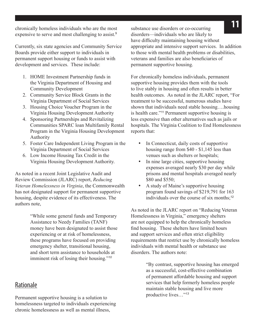expensive to serve and most challenging to assist.<sup>9</sup>

Currently, six state agencies and Community Service Boards provide either support to individuals in permanent support housing or funds to assist with development and services. These include:

- 1. HOME Investment Partnership funds in the Virginia Department of Housing and Community Development
- 2. Community Service Block Grants in the Virginia Department of Social Services
- 3. Housing Choice Voucher Program in the Virginia Housing Development Authority
- 4. Sponsoring Partnerships and Revitalizing Communities SPARC loan Multifamily Rental Program in the Virginia Housing Development Authority
- 5. Foster Care Independent Living Program in the Virginia Department of Social Services
- 6. Low Income Housing Tax Credit in the Virginia Housing Development Authority.

As noted in a recent Joint Legislative Audit and Review Commission (JLARC) report, *Reducing Veteran Homelessness in Virginia*, the Commonwealth has not designated support for permanent supportive housing, despite evidence of its effectiveness. The authors note,

> "While some general funds and Temporary Assistance to Needy Families (TANF) money have been designated to assist those experiencing or at risk of homelessness, these programs have focused on providing emergency shelter, transitional housing, and short term assistance to households at imminent risk of losing their housing."*<sup>10</sup>*

#### Rationale

Permanent supportive housing is a solution to homelessness targeted to individuals experiencing chronic homelessness as well as mental illness,

**11** chronically homeless individuals who are the most substance use disorders or co-occurring substance use disorders or co-occurring disorders—individuals who are likely to have difficulty maintaining housing without appropriate and intensive support services. In addition to those with mental health problems or disabilities, veterans and families are also beneficiaries of permanent supportive housing.

> For chronically homeless individuals, permanent supportive housing provides them with the tools to live stably in housing and often results in better health outcomes. As noted in the JLARC report, "For treatment to be successful, numerous studies have shown that individuals need stable housing….housing is health care."<sup>11</sup> Permanent supportive housing is less expensive than other alternatives such as jails or hospitals. The Virginia Coalition to End Homelessness reports that:

- In Connecticut, daily costs of supportive housing range from \$40 - \$1,145 less than venues such as shelters or hospitals;
- In nine large cities, supportive housing expenses averaged nearly \$30 per day while prisons and mental hospitals averaged nearly \$80 and \$550;
- A study of Maine's supportive housing program found savings of \$219,791 for 163 individuals over the course of six months;<sup>12</sup>

As noted in the JLARC report on "Reducing Veteran Homelessness in Virginia," emergency shelters are not equipped to help the chronically homeless find housing. These shelters have limited hours and support services and often strict eligibility requirements that restrict use by chronically homeless individuals with mental health or substance use disorders. The authors note:

> "By contrast, supportive housing has emerged as a successful, cost-effective combination of permanent affordable housing and support services that help formerly homeless people maintain stable housing and live more productive lives…"*13*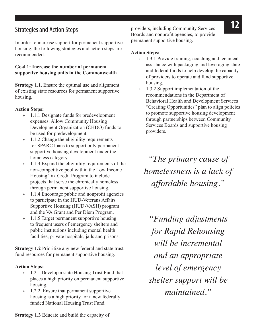In order to increase support for permanent supportive housing, the following strategies and action steps are recommended:

#### **Goal 1: Increase the number of permanent supportive housing units in the Commonwealth**

**Strategy 1.1**. Ensure the optimal use and alignment of existing state resources for permanent supportive housing.

#### **Action Steps:**

- » 1.1.1 Designate funds for predevelopment expenses: Allow Community Housing Development Organization (CHDO) funds to be used for predevelopment.
- » 1.1.2 Change the eligibility requirements for SPARC loans to support only permanent supportive housing development under the homeless category.
- » 1.1.3 Expand the eligibility requirements of the non-competitive pool within the Low Income Housing Tax Credit Program to include projects that serve the chronically homeless through permanent supportive housing.
- » 1.1.4 Encourage public and nonprofit agencies to participate in the HUD-Veterans Affairs Supportive Housing (HUD-VASH) program and the VA Grant and Per Diem Program.
- » 1.1.5 Target permanent supportive housing to frequent users of emergency shelters and public institutions including mental health facilities, private hospitals, jails and prisons.

**Strategy 1.2** Prioritize any new federal and state trust fund resources for permanent supportive housing.

#### **Action Steps:**

- » 1.2.1 Develop a state Housing Trust Fund that places a high priority on permanent supportive housing.
- » 1.2.2. Ensure that permanent supportive housing is a high priority for a new federally funded National Housing Trust Fund.

**12** Strategies and Action Steps providers, including Community Services Boards and nonprofit agencies, to provide permanent supportive housing.

#### **Action Steps:**

- » 1.3.1 Provide training, coaching and technical assistance with packaging and leveraging state and federal funds to help develop the capacity of providers to operate and fund supportive housing.
- » 1.3.2 Support implementation of the recommendations in the Department of Behavioral Health and Development Services "Creating Opportunities" plan to align policies to promote supportive housing development through partnerships between Community Services Boards and supportive housing providers.

*"The primary cause of homelessness is a lack of affordable housing."*

*"Funding adjustments for Rapid Rehousing will be incremental and an appropriate level of emergency shelter support will be maintained."*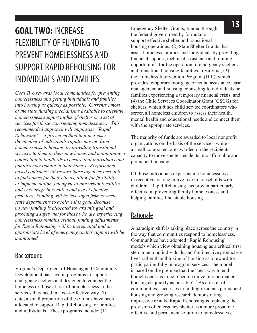## FLEXIBILITY OF FUNDING TO PREVENT HOMELESSNESS AND SUPPORT RAPID REHOUSING FOR INDIVIDUALS AND FAMILIES

*Goal Two rewards local communities for preventing homelessness and getting individuals and families into housing as quickly as possible. Currently, most of the state funding mechanisms available to alleviate homelessness support nights of shelter or a set of services for those experiencing homelessness. This recommended approach will emphasize "Rapid Rehousing"—a proven method that increases the number of individuals rapidly moving from homelessness to housing by providing transitional services to them in their new homes and maintaining a connection to landlords to ensure that individuals and families may remain in their homes. Performancebased contracts will reward those agencies best able to find homes for their clients, allow for flexibility of implementation among rural and urban localities and encourage innovation and use of effective practices. Funding will be leveraged from several state departments to achieve this goal. Because no new funding is allocated toward this goal and providing a safety net for those who are experiencing homelessness remains critical, funding adjustments for Rapid Rehousing will be incremental and an appropriate level of emergency shelter support will be maintained.*

#### Background

Virginia's Department of Housing and Community Development has several programs to support emergency shelters and designed to connect the homeless or those at risk of homelessness to the services they need in a cost-effective way. To date, a small proportion of these funds have been allocated to support Rapid Rehousing for families and individuals. These programs include: (1)

**13** Emergency Shelter Grants, funded through **13** Emergency Shelter Grants, funded through the federal government by formula to support effective shelter and transitional housing operations; (2) State Shelter Grants that assist homeless families and individuals by providing financial support, technical assistance and training opportunities for the operation of emergency shelters and transitional housing facilities in Virginia; (3) the Homeless Intervention Program (HIP), which provides temporary mortgage or rental assistance, case management and housing counseling to individuals or families experiencing a temporary financial crisis; and (4) the Child Services Coordinator Grant (CSCG) for shelters, which funds child service coordinators who screen all homeless children to assess their health, mental health and educational needs and connect them with the appropriate services.

> The majority of funds are awarded to local nonprofit organizations on the basis of the services, while a small component are awarded on the recipients' capacity to move shelter residents into affordable and permanent housing.

Of those individuals experiencing homelessness in recent years, one in five live in households with children. Rapid Rehousing has proven particularly effective in preventing family homelessness and helping families find stable housing.

#### Rationale

A paradigm shift is taking place across the country in the way that communities respond to homelessness. Communities have adopted "Rapid Rehousing" models which view obtaining housing as a critical first step in helping individuals and families live productive lives rather than thinking of housing as a reward for participating fully in program services. The model is based on the premise that the "best way to end homelessness is to help people move into permanent housing as quickly as possible<sup>"14</sup> As a result of communities' successes in finding residents permanent housing and growing research demonstrating impressive results, Rapid Rehousing is replacing the provision of emergency shelter as a more proactive, effective and permanent solution to homelessness.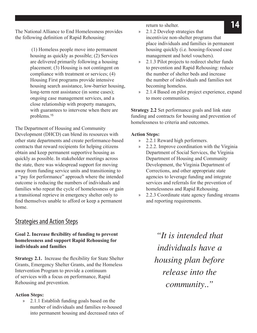The National Alliance to End Homelessness provides the following definition of Rapid Rehousing:

> (1) Homeless people move into permanent housing as quickly as possible; (2) Services are delivered primarily following a housing placement; (3) Housing is not contingent on compliance with treatment or services; (4) Housing First programs provide intensive housing search assistance, low-barrier housing, long-term rent assistance (in some cases); ongoing case management services, and a close relationship with property managers, with guarantees to intervene when there are problems.<sup>15</sup>

The Department of Housing and Community Development (DHCD) can blend its resources with other state departments and create performance-based contracts that reward recipients for helping citizens obtain and keep permanent supportive housing as quickly as possible. In stakeholder meetings across the state, there was widespread support for moving away from funding service units and transitioning to a "pay for performance" approach where the intended outcome is reducing the numbers of individuals and families who repeat the cycle of homelessness or gain a transitional reprieve in emergency shelter only to find themselves unable to afford or keep a permanent home.

#### Strategies and Action Steps

#### **Goal 2. Increase flexibility of funding to prevent homelessness and support Rapid Rehousing for individuals and families**

**Strategy 2.1.** Increase the flexibility for State Shelter Grants, Emergency Shelter Grants, and the Homeless Intervention Program to provide a continuum of services with a focus on performance, Rapid Rehousing and prevention.

#### **Action Steps:**

» 2.1.1 Establish funding goals based on the number of individuals and families re-housed into permanent housing and decreased rates of return to shelter.

- » 2.1.2 Develop strategies that incentivize non-shelter programs that place individuals and families in permanent housing quickly (i.e. housing-focused case management and hotel vouchers).
- » 2.1.3 Pilot projects to redirect shelter funds to prevention and Rapid Rehousing: reduce the number of shelter beds and increase the number of individuals and families not becoming homeless.
- » 2.1.4 Based on pilot project experience, expand to more communities.

**Strategy 2.2** Set performance goals and link state funding and contracts for housing and prevention of homelessness to criteria and outcomes.

#### **Action Steps:**

- » 2.2.1 Reward high performers.
- » 2.2.2. Improve coordination with the Virginia Department of Social Services, the Virginia Department of Housing and Community Development, the Virginia Department of Corrections, and other appropriate state agencies to leverage funding and integrate services and referrals for the prevention of homelessness and Rapid Rehousing.
- » 2.2.3 Coordinate state agency funding streams and reporting requirements.

*"It is intended that individuals have a housing plan before release into the community.."*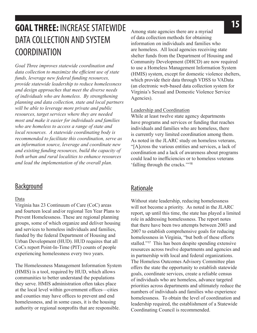### **15 GOAL THREE:** INCREASE STATEWIDE DATA COLLECTION AND SYSTEM COORDINATION

*Goal Three improves statewide coordination and data collection to maximize the efficient use of state funds, leverage new federal funding resources, provide statewide leadership to reduce homelessness and design approaches that meet the diverse needs of individuals who are homeless. By strengthening planning and data collection, state and local partners will be able to leverage more private and public resources, target services where they are needed most and make it easier for individuals and families who are homeless to access a range of state and local resources. A statewide coordinating body is recommended to facilitate this coordination, serve as an information source, leverage and coordinate new and existing funding resources, build the capacity of both urban and rural localities to enhance resources and lead the implementation of the overall plan.*

#### **Background**

#### Data

Virginia has 23 Continuum of Care (CoC) areas and fourteen local and/or regional Ten Year Plans to Prevent Homelessness. These are regional planning groups, some of which organize and deliver housing and services to homeless individuals and families, funded by the federal Department of Housing and Urban Development (HUD). HUD requires that all CoCs report Point-In-Time (PIT) counts of people experiencing homelessness every two years.

The Homelessness Management Information System (HMIS) is a tool, required by HUD, which allows communities to better understand the populations they serve. HMIS administration often takes place at the local level within government offices—cities and counties may have offices to prevent and end homelessness, and in some cases, it is the housing authority or regional nonprofits that are responsible.

Among state agencies there are a myriad of data collection methods for obtaining information on individuals and families who are homeless. All local agencies receiving state shelter funds from the Department of Housing and Community Development (DHCD) are now required to use a Homeless Management Information System (HMIS) system, except for domestic violence shelters, which provide their data through VDSS to VAData (an electronic web-based data collection system for Virginia's Sexual and Domestic Violence Service Agencies).

#### Leadership and Coordination

While at least twelve state agency departments have programs and services or funding that reaches individuals and families who are homeless, there is currently very limited coordination among them. As noted in the JLARC study on homeless veterans, "[A]cross the various entities and services, a lack of coordination and a lack of awareness about programs could lead to inefficiencies or to homeless veterans 'falling through the cracks.'"<sup>16</sup>

#### Rationale

Without state leadership, reducing homelessness will not become a priority. As noted in the JLARC report, up until this time, the state has played a limited role in addressing homelessness. The report notes that there have been two attempts between 2003 and 2007 to establish comprehensive goals for reducing homelessness in Virginia, "but both of these efforts stalled."<sup>17</sup> This has been despite spending extensive resources across twelve departments and agencies and in partnership with local and federal organizations. The Homeless Outcomes Advisory Committee plan offers the state the opportunity to establish statewide goals, coordinate services, create a reliable census of individuals who are homeless, advance targeted priorities across departments and ultimately reduce the numbers of individuals and families who experience homelessness. To obtain the level of coordination and leadership required, the establishment of a Statewide Coordinating Council is recommended.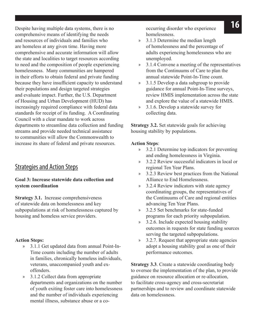**16** Despite having multiple data systems, there is no occurring disorder who experience comprehensive means of identifying the needs and resources of individuals and families who are homeless at any given time. Having more comprehensive and accurate information will allow the state and localities to target resources according to need and the composition of people experiencing homelessness. Many communities are hampered in their efforts to obtain federal and private funding because they have insufficient capacity to understand their populations and design targeted strategies and evaluate impact. Further, the U.S. Department of Housing and Urban Development (HUD) has increasingly required compliance with federal data standards for receipt of its funding. A Coordinating Council with a clear mandate to work across departments to streamline data collection and funding streams and provide needed technical assistance to communities will allow the Commonwealth to increase its share of federal and private resources.

#### Strategies and Action Steps

#### **Goal 3: Increase statewide data collection and system coordination**

**Strategy 3.1.** Increase comprehensiveness of statewide data on homelessness and key subpopulations at risk of homelessness captured by housing and homeless service providers.

#### **Action Steps:**

- » 3.1.1 Get updated data from annual Point-In-Time counts including the number of adults in families, chronically homeless individuals, veterans, unaccompanied youth and exoffenders.
- » 3.1.2 Collect data from appropriate departments and organizations on the number of youth exiting foster care into homelessness and the number of individuals experiencing mental illness, substance abuse or a co-

occurring disorder who experience homelessness.

- » 3.1.3 Determine the median length of homelessness and the percentage of adults experiencing homelessness who are unemployed.
- » 3.1.4 Convene a meeting of the representatives from the Continuums of Care to plan the annual statewide Point-In-Time count.
- » 3.1.5 Develop a data subgroup to provide guidance for annual Point-In-Time surveys, review HMIS implementation across the state and explore the value of a statewide HMIS.
- » 3.1.6. Develop a statewide survey for collecting data.

**Strategy 3.2.** Set statewide goals for achieving housing stability by populations.

#### **Action Steps**:

- » 3.2.1 Determine top indicators for preventing and ending homelessness in Virginia.
- » 3.2.2 Review successful indicators in local or regional Ten Year Plans.
- » 3.2.3 Review best practices from the National Alliance to End Homelessness.
- » 3.2.4 Review indicators with state agency coordinating groups, the representatives of the Continuums of Care and regional entities advancing Ten Year Plans.
- » 3.2.5 Set benchmarks for state-funded programs for each priority subpopulation.
- » 3.2.6. Include expected housing stability outcomes in requests for state funding sources serving the targeted subpopulations.
- » 3.2.7. Request that appropriate state agencies adopt a housing stability goal as one of their performance outcomes.

**Strategy 3.3**. Create a statewide coordinating body to oversee the implementation of the plan, to provide guidance on resource allocation or re-allocation, to facilitate cross-agency and cross-secretariat partnerships and to review and coordinate statewide data on homelessness.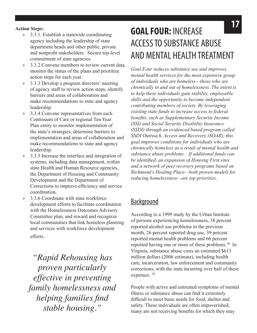- » 3.3.1. Establish a statewide coordinating agency including the leadership of state department heads and other public, private and nonprofit stakeholders. Secure top-level commitment of state agencies.
- » 3.3.2 Convene members to review current data, monitor the status of the plans and prioritize action steps for each year.
- » 3.3.3 Develop a program directors' meeting of agency staff to review action steps, identify barriers and areas of collaboration and make recommendations to state and agency leadership.
- » 3.3.4 Convene representatives from each Continuum of Care or regional Ten Year Plan entity to monitor implementation of the state's strategies, determine barriers to implementation and areas of collaboration and make recommendations to state and agency leadership.
- » 3.3.5 Increase the interface and integration of systems, including data management, within state Health and Human Resource agencies, the Department of Housing and Community Development and the Department of Corrections to improve efficiency and service coordination.
- » 3.3.6 Coordinate with state workforce development efforts to facilitate coordination with the Homelessness Outcomes Advisory Committee plan, and reward and recognize local communities that link homeless planning and services with workforce development efforts.

*"Rapid Rehousing has proven particularly effective in preventing family homelessness and helping families find stable housing."*

### **17 Action Steps: 17 COAL EQUID**. INCREASE **GOAL FOUR:** INCREASE ACCESS TO SUBSTANCE ABUSE AND MENTAL HEALTH TREATMENT

*Goal Four reduces substance use and improves mental health services for the most expensive group of individuals who are homeless—those who are chronically in and out of homelessness. The intent is to help these individuals gain stability, employable skills and the opportunity to become independent contributing members of society. By leveraging existing state funds to increase access to federal benefits, such as Supplementary Security Income (SSI) and Social Security Disability Insurance (SSDI) through an evidenced based program called SSDI Outreach, Access and Recovery (SOAR), this goal improves conditions for individuals who are chronically homeless as a result of mental health and substance abuse problems. If additional funds can be identified, an expansion of Housing First sites and a network of peer recovery programs based on Richmond's Healing Place—both proven models for reducing homelessness—are top priorities*.

#### **Background**

According to a 1999 study by the Urban Institute of persons experiencing homelessness, 38 percent reported alcohol use problems in the previous month, 26 percent reported drug use, 39 percent reported mental health problems and 66 percent reported having one or more of these problems.<sup>18</sup> In Virginia, substance abuse costs an estimated \$613 million dollars (2006 estimate), including health care, incarceration, law enforcement and community corrections, with the state incurring over half of these expenses. <sup>19</sup>

People with active and untreated symptoms of mental illness or substance abuse can find it extremely difficult to meet basic needs for food, shelter and safety. These individuals are often impoverished; many are not receiving benefits for which they may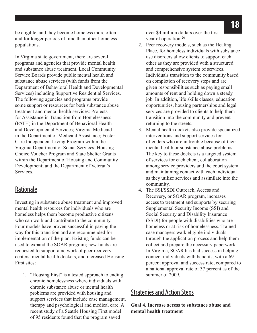be eligible, and they become homeless more often and for longer periods of time than other homeless populations.

In Virginia state government, there are several programs and agencies that provide mental health and substance abuse treatment. Local Community Service Boards provide public mental health and substance abuse services (with funds from the Department of Behavioral Health and Developmental Services) including Supportive Residential Services. The following agencies and programs provide some support or resources for both substance abuse treatment and mental health services: Projects for Assistance in Transition from Homelessness (PATH) in the Department of Behavioral Health and Developmental Services; Virginia Medicaid in the Department of Medicaid Assistance; Foster Care Independent Living Program within the Virginia Department of Social Services; Housing Choice Voucher Program and State Shelter Grants within the Department of Housing and Community Development; and the Department of Veteran's Services.

#### Rationale

Investing in substance abuse treatment and improved mental health resources for individuals who are homeless helps them become productive citizens who can work and contribute to the community. Four models have proven successful in paving the way for this transition and are recommended for implementation of the plan. Existing funds can be used to expand the SOAR program; new funds are requested to support a network of peer recovery centers, mental health dockets, and increased Housing First sites:

1. "Housing First" is a tested approach to ending chronic homelessness where individuals with chronic substance abuse or mental health problems are provided with housing and support services that include case management, therapy and psychological and medical care. A recent study of a Seattle Housing First model of 95 residents found that the program saved

over \$4 million dollars over the first year of operation.<sup>20</sup>

- 2. Peer recovery models, such as the Healing Place, for homeless individuals with substance use disorders allow clients to support each other as they are provided with a structured and comprehensive system of services. Individuals transition to the community based on completion of recovery steps and are given responsibilities such as paying small amounts of rent and holding down a steady job. In addition, life skills classes, education opportunities, housing partnerships and legal services are provided to clients to help them transition into the community and prevent returning to the streets.
- 3. Mental health dockets also provide specialized interventions and support services for offenders who are in trouble because of their mental health or substance abuse problems. The key to these dockets is a targeted system of services for each client, collaboration among service providers and the court system and maintaining contact with each individual as they utilize services and assimilate into the community.
- 4. The SSI/SSDI Outreach, Access and Recovery, or SOAR program, increases access to treatment and supports by securing Supplemental Security Income (SSI) and Social Security and Disability Insurance (SSDI) for people with disabilities who are homeless or at risk of homelessness. Trained case managers walk eligible individuals through the application process and help them collect and prepare the necessary paperwork. In Virginia, SOAR has had success in helping connect individuals with benefits, with a 69 percent approval and success rate, compared to a national approval rate of 37 percent as of the summer of 2009.

#### Strategies and Action Steps

**Goal 4. Increase access to substance abuse and mental health treatment**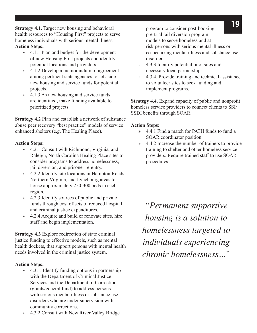**19 Strategy 4.1.** Target new housing and behavioral **the program to consider post-booking.** health resources to "Housing First" projects to serve homeless individuals with serious mental illness. **Action Steps:**

- » 4.1.1 Plan and budget for the development of new Housing First projects and identify potential locations and providers.
- » 4.1.2 Develop a memorandum of agreement among pertinent state agencies to set aside new housing and service funds for potential projects.
- » 4.1.3 As new housing and service funds are identified, make funding available to prioritized projects.

**Strategy 4.2** Plan and establish a network of substance abuse peer recovery "best practice" models of service enhanced shelters (e.g. The Healing Place).

#### **Action Steps:**

- » 4.2.1 Consult with Richmond, Virginia, and Raleigh, North Carolina Healing Place sites to consider programs to address homelessness, jail diversion, and prisoner re-entry.
- » 4.2.2 Identify site locations in Hampton Roads, Northern Virginia, and Lynchburg areas to house approximately 250-300 beds in each region.
- » 4.2.3 Identify sources of public and private funds through cost offsets of reduced hospital and criminal justice expenditures.
- » 4.2.4 Acquire and build or renovate sites, hire staff and begin implementation.

**Strategy 4.3** Explore redirection of state criminal justice funding to effective models, such as mental health dockets, that support persons with mental health needs involved in the criminal justice system.

#### **Action Steps:**

- » 4.3.1. Identify funding options in partnership with the Department of Criminal Justice Services and the Department of Corrections (grants/general fund) to address persons with serious mental illness or substance use disorders who are under supervision with community corrections.
- » 4.3.2 Consult with New River Valley Bridge

program to consider post-booking, pre-trial jail diversion program models to serve homeless and atrisk persons with serious mental illness or co-occurring mental illness and substance use disorders.

- » 4.3.3 Identify potential pilot sites and necessary local partnerships.
- » 4.3.4. Provide training and technical assistance to volunteer sites to seek funding and implement programs.

**Strategy 4.4.** Expand capacity of public and nonprofit homeless service providers to connect clients to SSI/ SSDI benefits through SOAR.

#### **Action Steps:**

- » 4.4.1 Find a match for PATH funds to fund a SOAR coordinator position.
- » 4.4.2 Increase the number of trainers to provide training to shelter and other homeless service providers. Require trained staff to use SOAR procedures.

*"Permanent supportive housing is a solution to homelessness targeted to individuals experiencing chronic homelessness..."*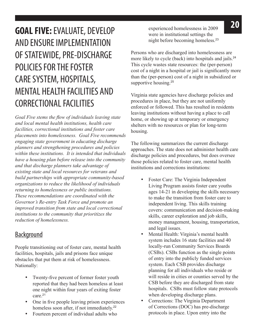## **20 COAL FIVE:** EVALUATE, DEVELOP experienced homelessness in 2009 AND ENSURE IMPLEMENTATION OF STATEWIDE, PRE-DISCHARGE POLICIES FOR THE FOSTER CARE SYSTEM, HOSPITALS, MENTAL HEALTH FACILITIES AND CORRECTIONAL FACILITIES

*Goal Five stems the flow of individuals leaving state and local mental health institutions, health care facilities, correctional institutions and foster care placements into homelessness. Goal Five recommends engaging state government in educating discharge planners and strengthening procedures and policies within these institutions. It is intended that individuals have a housing plan before release into the community and that discharge planners take advantage of existing state and local resources for veterans and build partnerships with appropriate community-based organizations to reduce the likelihood of individuals returning to homelessness or public institutions. These recommendations are coordinated with the Governor's Re-entry Task Force and promote an improved transition from state and local correctional institutions to the community that prioritizes the reduction of homelessness.*

#### **Background**

People transitioning out of foster care, mental health facilities, hospitals, jails and prisons face unique obstacles that put them at risk of homelessness. Nationally:

- Twenty-five percent of former foster youth reported that they had been homeless at least one night within four years of exiting foster care.<sup>21</sup>
- One in five people leaving prison experiences homeless soon after, if not immediately.<sup>22</sup>
- Fourteen percent of individual adults who

experienced homelessness in 2009 were in institutional settings the night before becoming homeless.<sup>23</sup>

Persons who are discharged into homelessness are more likely to cycle (back) into hospitals and jails.<sup>24</sup> This cycle wastes state resources: the (per-person) cost of a night in a hospital or jail is significantly more than the (per-person) cost of a night in subsidized or supportive housing.<sup>25</sup>

Virginia state agencies have discharge policies and procedures in place, but they are not uniformly enforced or followed. This has resulted in residents leaving institutions without having a place to call home, or showing up at temporary or emergency shelters with no resources or plan for long-term housing.

The following summarizes the current discharge approaches. The state does not administer health care discharge policies and procedures, but does oversee those policies related to foster care, mental health institutions and corrections institutions:

- Foster Care: The Virginia Independent Living Program assists foster care youths ages 14-21 in developing the skills necessary to make the transition from foster care to independent living. This skills training covers: communication and decision-making skills, career exploration and job skills, money management, housing, transportation, and legal issues.
- Mental Health: Virginia's mental health system includes 16 state facilities and 40 locally-run Community Services Boards (CSBs). CSBs function as the single points of entry into the publicly funded services system. Each CSB provides discharge planning for all individuals who reside or will reside in cities or counties served by the CSB before they are discharged from state hospitals. CSBs must follow state protocols when developing discharge plans.
- • Corrections: The Virginia Department of Corrections (DOC) has pre-discharge protocols in place. Upon entry into the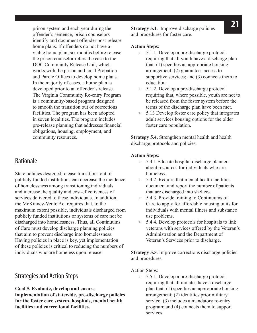**21** prison system and each year during the **Strategy 5.1**. Improve discharge policies offender's sentence, prison counselors identify and document offender post-release home plans. If offenders do not have a viable home plan, six months before release, the prison counselor refers the case to the DOC Community Release Unit, which works with the prison and local Probation and Parole Offices to develop home plans. In the majority of cases, a home plan is developed prior to an offender's release. The Virginia Community Re-entry Program is a community-based program designed to smooth the transition out of corrections facilities. The program has been adopted in seven localities. The program includes pre-release planning that addresses financial obligations, housing, employment, and community resources.

#### Rationale

State policies designed to ease transitions out of publicly funded institutions can decrease the incidence of homelessness among transitioning individuals and increase the quality and cost-effectiveness of services delivered to these individuals. In addition, the McKinney-Vento Act requires that, to the maximum extent possible, individuals discharged from publicly funded institutions or systems of care not be discharged into homelessness. Thus, all Continuums of Care must develop discharge planning policies that aim to prevent discharge into homelessness. Having policies in place is key, yet implementation of these policies is critical to reducing the numbers of individuals who are homeless upon release.

#### Strategies and Action Steps

#### **Goal 5. Evaluate, develop and ensure**

**implementation of statewide, pre-discharge policies for the foster care system, hospitals, mental health facilities and correctional facilities.**

and procedures for foster care.

#### **Action Steps:**

- » 5.1.1. Develop a pre-discharge protocol requiring that all youth have a discharge plan that: (1) specifies an appropriate housing arrangement; (2) guarantees access to supportive services; and (3) connects them to education.
- » 5.1.2. Develop a pre-discharge protocol requiring that, where possible, youth are not to be released from the foster system before the terms of the discharge plan have been met.
- » 5.13 Develop foster care policy that integrates adult services housing options for the older foster care population.

**Strategy 5.4.** Strengthen mental health and health discharge protocols and policies.

#### **Action Steps:**

- » 5.4.1 Educate hospital discharge planners about resources for individuals who are homeless.
- » 5.4.2. Require that mental health facilities document and report the number of patients that are discharged into shelters.
- » 5.4.3. Provide training to Continuums of Care to apply for affordable housing units for individuals with mental illness and substance use problems.
- » 5.4.4. Develop protocols for hospitals to link veterans with services offered by the Veteran's Administration and the Department of Veteran's Services prior to discharge.

**Strategy 5.5**. Improve corrections discharge policies and procedures.

Action Steps:

» 5.5.1. Develop a pre-discharge protocol requiring that all inmates have a discharge plan that: (1) specifies an appropriate housing arrangement; (2) identifies prior military service; (3) includes a mandatory re-entry program; and (4) connects them to support services.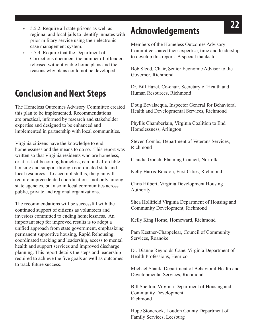- **22** » 5.5.2. Require all state prisons as well as regional and local jails to identify inmates with prior military service using their electronic case management system.
- » 5.5.3. Require that the Department of Corrections document the number of offenders released without viable home plans and the reasons why plans could not be developed.

### **Conclusion and Next Steps**

The Homeless Outcomes Advisory Committee created this plan to be implemented. Recommendations are practical, informed by research and stakeholder expertise and designed to be enhanced and implemented in partnership with local communities.

Virginia citizens have the knowledge to end homelessness and the means to do so. This report was written so that Virginia residents who are homeless, or at risk of becoming homeless, can find affordable housing and support through coordinated state and local resources. To accomplish this, the plan will require unprecedented coordination—not only among state agencies, but also in local communities across public, private and regional organizations.

The recommendations will be successful with the continued support of citizens as volunteers and investors committed to ending homelessness. An important step for improved results is to adopt a unified approach from state government, emphasizing permanent supportive housing, Rapid Rehousing, coordinated tracking and leadership, access to mental health and support services and improved discharge planning. This report details the steps and leadership required to achieve the five goals as well as outcomes to track future success.

### **Acknowledgements**

Members of the Homeless Outcomes Advisory Committee shared their expertise, time and leadership to develop this report. A special thanks to:

Bob Sledd, Chair, Senior Economic Advisor to the Governor, Richmond

Dr. Bill Hazel, Co-chair, Secretary of Health and Human Resources, Richmond

Doug Bevalacqua, Inspector General for Behavioral Health and Developmental Services, Richmond

Phyllis Chamberlain, Virginia Coalition to End Homelessness, Arlington

Steven Combs, Department of Veterans Services, Richmond

Claudia Gooch, Planning Council, Norfolk

Kelly Harris-Braxton, First Cities, Richmond

Chris Hilbert, Virginia Development Housing Authority

Shea Hollifield Virginia Department of Housing and Community Development, Richmond

Kelly King Horne, Homeward, Richmond

Pam Kestner-Chappelear, Council of Community Services, Roanoke

Dr. Dianne Reynolds-Cane, Virginia Department of Health Professions, Henrico

Michael Shank, Department of Behavioral Health and Developmental Services, Richmond

Bill Shelton, Virginia Department of Housing and Community Development Richmond

Hope Stonerook, Loudon County Department of Family Services, Leesburg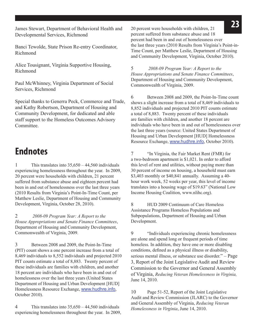**23** James Stewart, Department of Behavioral Health and 20 percent were households with children, 21 Developmental Services, Richmond

Banci Tewolde, State Prison Re-entry Coordinator, Richmond

Alice Tousignant, Virginia Supportive Housing, Richmond

Paul McWhinney, Virginia Department of Social Services, Richmond

Special thanks to Generra Peck, Commerce and Trade, and Kathy Robertson, Department of Housing and Community Development, for dedicated and able staff support to the Homeless Outcomes Advisory **Committee** 

### **Endnotes**

1 This translates into  $35,650 - 44,560$  individuals experiencing homelessness throughout the year. In 2009, 20 percent were households with children, 21 percent suffered from substance abuse and eighteen percent had been in and out of homelessness over the last three years (2010 Results from Virginia's Point-In-Time Count, per Matthew Leslie, Department of Housing and Community Development, Virginia, October 28, 2010).

2 *2008-09 Program Year: A Report to the House Appropriations and Senate Finance Committees*, Department of Housing and Community Development, Commonwealth of Virginia, 2009.

3 Between 2008 and 2009, the Point-In-Time (PIT) count shows a one percent increase from a total of 8,469 individuals to 8,552 individuals and projected 2010 PIT counts estimate a total of 8,883. Twenty percent of these individuals are families with children, and another 18 percent are individuals who have been in and out of homelessness over the last three years (United States Department of Housing and Urban Development [HUD] Homelessness Resource Exchange, www.hudhre.info, October 2010).

4 This translates into 35,650 – 44,560 individuals experiencing homelessness throughout the year. In 2009, 20 percent were households with children, 21 percent suffered from substance abuse and 18 percent had been in and out of homelessness over the last three years (2010 Results from Virginia's Point-in-Time Count, per Matthew Leslie, Department of Housing and Community Development, Virginia, October 2010).

5 *2008-09 Program Year: A Report to the House Appropriations and Senate Finance Committees*, Department of Housing and Community Development, Commonwealth of Virginia, 2009.

6 Between 2008 and 2009, the Point-In-Time count shows a slight increase from a total of 8,469 individuals to 8,852 individuals and projected 2010 PIT counts estimate a total of 8,883. Twenty percent of these individuals are families with children, and another 18 percent are individuals who have been in and out of homelessness over the last three years (source: United States Department of Housing and Urban Development [HUD] Homelessness Resource Exchange, www.hudhre.info, October 2010).

7 "In Virginia, the Fair Market Rent (FMR) for a two-bedroom apartment is \$1,021. In order to afford this level of rent and utilities, without paying more than 30 percent of income on housing, a household must earn \$3,403 monthly or \$40,841 annually. Assuming a 40 hour work week, 52 weeks per year, this level of income translates into a housing wage of \$19.63" (National Low Income Housing Coalition, www.nlihc.org).

8 HUD 2009 Continuum of Care Homeless Assistance Programs Homeless Populations and Subpopulations, Department of Housing and Urban Development.

9 "Individuals experiencing chronic homelessness are alone and spend long or frequent periods of time homeless. In addition, they have one or more disabling conditions, defined as a physical illness or disability, serious mental illness, or substance use disorder." – Page 3, Report of the Joint Legislative Audit and Review Commission to the Governor and General Assembly of Virginia, *Reducing Veteran Homelessness in Virginia,* June 14, 2010.

10 Page 51-52, Report of the Joint Legislative Audit and Review Commission (JLARC) to the Governor and General Assembly of Virginia, *Reducing Veteran Homelessness in Virginia*, June 14, 2010.